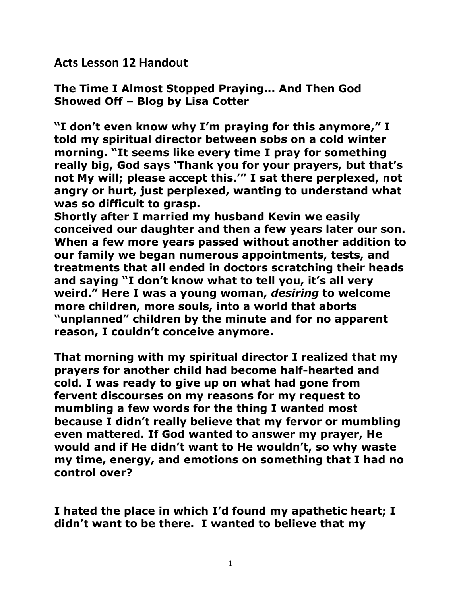**Acts Lesson 12 Handout** 

**The Time I Almost Stopped Praying... And Then God Showed Off – Blog by Lisa Cotter** 

**"I don't even know why I'm praying for this anymore," I told my spiritual director between sobs on a cold winter morning. "It seems like every time I pray for something really big, God says 'Thank you for your prayers, but that's not My will; please accept this.'" I sat there perplexed, not angry or hurt, just perplexed, wanting to understand what was so difficult to grasp.** 

**Shortly after I married my husband Kevin we easily conceived our daughter and then a few years later our son. When a few more years passed without another addition to our family we began numerous appointments, tests, and treatments that all ended in doctors scratching their heads and saying "I don't know what to tell you, it's all very weird." Here I was a young woman,** *desiring* **to welcome more children, more souls, into a world that aborts "unplanned" children by the minute and for no apparent reason, I couldn't conceive anymore.** 

**That morning with my spiritual director I realized that my prayers for another child had become half-hearted and cold. I was ready to give up on what had gone from fervent discourses on my reasons for my request to mumbling a few words for the thing I wanted most because I didn't really believe that my fervor or mumbling even mattered. If God wanted to answer my prayer, He would and if He didn't want to He wouldn't, so why waste my time, energy, and emotions on something that I had no control over?** 

**I hated the place in which I'd found my apathetic heart; I didn't want to be there. I wanted to believe that my**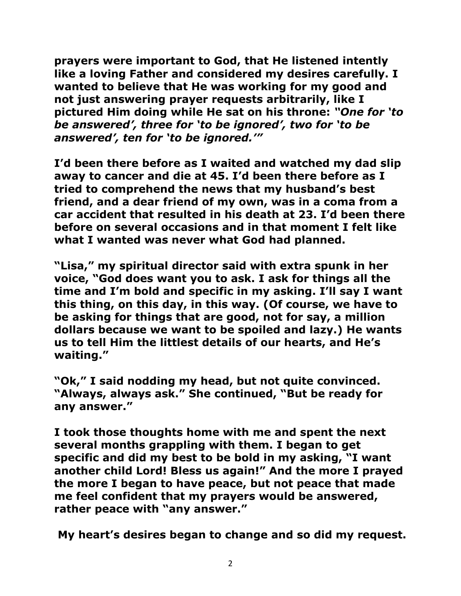**prayers were important to God, that He listened intently like a loving Father and considered my desires carefully. I wanted to believe that He was working for my good and not just answering prayer requests arbitrarily, like I pictured Him doing while He sat on his throne:** *"One for 'to be answered', three for 'to be ignored', two for 'to be answered', ten for 'to be ignored.'"*

**I'd been there before as I waited and watched my dad slip away to cancer and die at 45. I'd been there before as I tried to comprehend the news that my husband's best friend, and a dear friend of my own, was in a coma from a car accident that resulted in his death at 23. I'd been there before on several occasions and in that moment I felt like what I wanted was never what God had planned.** 

**"Lisa," my spiritual director said with extra spunk in her voice, "God does want you to ask. I ask for things all the time and I'm bold and specific in my asking. I'll say I want this thing, on this day, in this way. (Of course, we have to be asking for things that are good, not for say, a million dollars because we want to be spoiled and lazy.) He wants us to tell Him the littlest details of our hearts, and He's waiting."**

**"Ok," I said nodding my head, but not quite convinced. "Always, always ask." She continued, "But be ready for any answer."**

**I took those thoughts home with me and spent the next several months grappling with them. I began to get specific and did my best to be bold in my asking, "I want another child Lord! Bless us again!" And the more I prayed the more I began to have peace, but not peace that made me feel confident that my prayers would be answered, rather peace with "any answer."**

**My heart's desires began to change and so did my request.**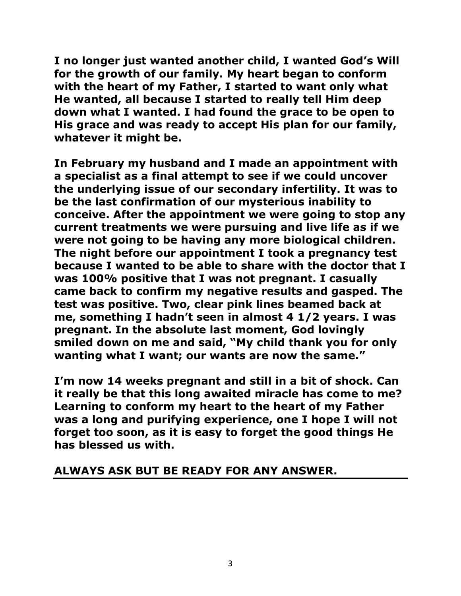**I no longer just wanted another child, I wanted God's Will for the growth of our family. My heart began to conform with the heart of my Father, I started to want only what He wanted, all because I started to really tell Him deep down what I wanted. I had found the grace to be open to His grace and was ready to accept His plan for our family, whatever it might be.** 

**In February my husband and I made an appointment with a specialist as a final attempt to see if we could uncover the underlying issue of our secondary infertility. It was to be the last confirmation of our mysterious inability to conceive. After the appointment we were going to stop any current treatments we were pursuing and live life as if we were not going to be having any more biological children. The night before our appointment I took a pregnancy test because I wanted to be able to share with the doctor that I was 100% positive that I was not pregnant. I casually came back to confirm my negative results and gasped. The test was positive. Two, clear pink lines beamed back at me, something I hadn't seen in almost 4 1/2 years. I was pregnant. In the absolute last moment, God lovingly smiled down on me and said, "My child thank you for only wanting what I want; our wants are now the same."**

**I'm now 14 weeks pregnant and still in a bit of shock. Can it really be that this long awaited miracle has come to me? Learning to conform my heart to the heart of my Father was a long and purifying experience, one I hope I will not forget too soon, as it is easy to forget the good things He has blessed us with.** 

#### **ALWAYS ASK BUT BE READY FOR ANY ANSWER.**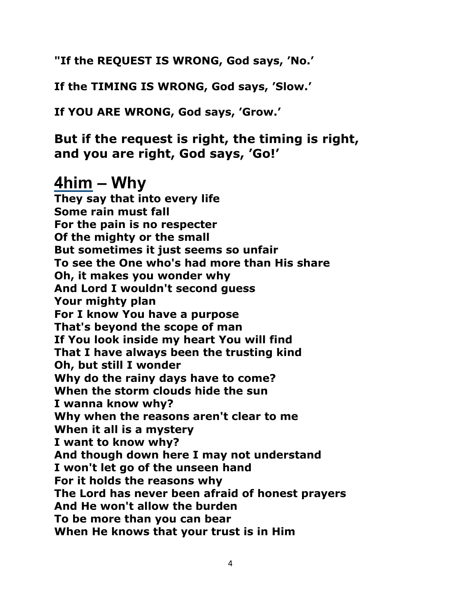**"If the REQUEST IS WRONG, God says, 'No.'**

**If the TIMING IS WRONG, God says, 'Slow.'**

**If YOU ARE WRONG, God says, 'Grow.'**

**But if the request is right, the timing is right, and you are right, God says, 'Go!'**

# **[4him](http://www.lyricsfreak.com/4/4him/) – Why**

**They say that into every life Some rain must fall For the pain is no respecter Of the mighty or the small But sometimes it just seems so unfair To see the One who's had more than His share Oh, it makes you wonder why And Lord I wouldn't second guess Your mighty plan For I know You have a purpose That's beyond the scope of man If You look inside my heart You will find That I have always been the trusting kind Oh, but still I wonder Why do the rainy days have to come? When the storm clouds hide the sun I wanna know why? Why when the reasons aren't clear to me When it all is a mystery I want to know why? And though down here I may not understand I won't let go of the unseen hand For it holds the reasons why The Lord has never been afraid of honest prayers And He won't allow the burden To be more than you can bear When He knows that your trust is in Him**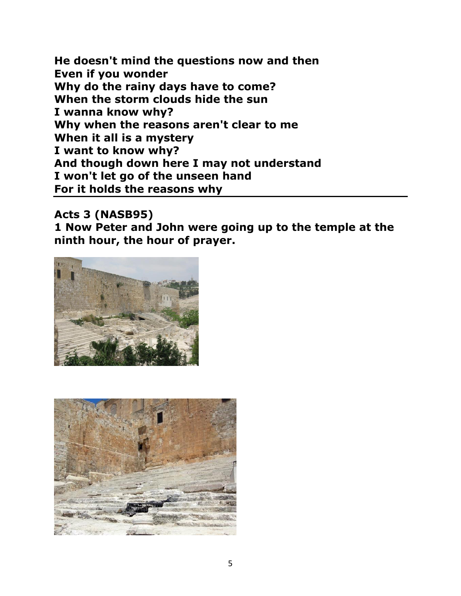**He doesn't mind the questions now and then Even if you wonder Why do the rainy days have to come? When the storm clouds hide the sun I wanna know why? Why when the reasons aren't clear to me When it all is a mystery I want to know why? And though down here I may not understand I won't let go of the unseen hand For it holds the reasons why** 

**Acts 3 (NASB95)** 

**1 Now Peter and John were going up to the temple at the ninth hour, the hour of prayer.** 



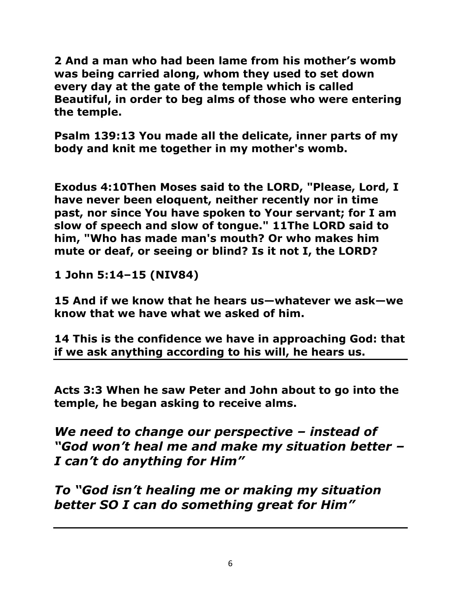**2 And a man who had been lame from his mother's womb was being carried along, whom they used to set down every day at the gate of the temple which is called Beautiful, in order to beg alms of those who were entering the temple.** 

**Psalm 139:13 You made all the delicate, inner parts of my body and knit me together in my mother's womb.** 

**Exodus 4:10Then Moses said to the LORD, "Please, Lord, I have never been eloquent, neither recently nor in time past, nor since You have spoken to Your servant; for I am slow of speech and slow of tongue." 1[1The LORD](http://biblehub.com/hebrew/3068.htm) [said](http://biblehub.com/hebrew/559.htm) [to](http://biblehub.com/hebrew/4310.htm)  [him, "Who](http://biblehub.com/hebrew/4310.htm) [has made](http://biblehub.com/hebrew/7760.htm) [man's](http://biblehub.com/hebrew/120.htm) [mouth?](http://biblehub.com/hebrew/6310.htm) [Or](http://biblehub.com/hebrew/176.htm) [who](http://biblehub.com/hebrew/4310.htm) [makes](http://biblehub.com/hebrew/7760.htm) [him](http://biblehub.com/hebrew/483.htm)  [mute](http://biblehub.com/hebrew/483.htm) [or](http://biblehub.com/hebrew/176.htm) [deaf,](http://biblehub.com/hebrew/2795.htm) [or](http://biblehub.com/hebrew/176.htm) [seeing](http://biblehub.com/hebrew/6493.htm) [or](http://biblehub.com/hebrew/176.htm) [blind?](http://biblehub.com/hebrew/5787.htm) [Is it not I, the LORD?](http://biblehub.com/hebrew/3068.htm)** 

**1 John 5:14–15 (NIV84)** 

**15 And if we know that he hears us—whatever we ask—we know that we have what we asked of him.** 

**14 This is the confidence we have in approaching God: that if we ask anything according to his will, he hears us.** 

**Acts 3:3 When he saw Peter and John about to go into the temple, he began asking to receive alms.** 

*We need to change our perspective – instead of "God won't heal me and make my situation better – I can't do anything for Him"*

*To "God isn't healing me or making my situation better SO I can do something great for Him"*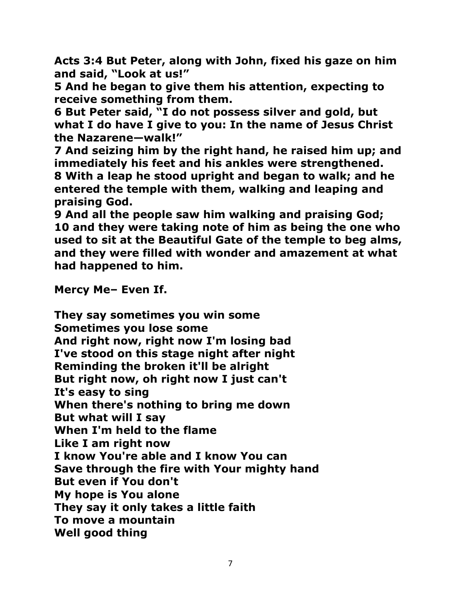**Acts 3:4 But Peter, along with John, fixed his gaze on him and said, "Look at us!"** 

**5 And he began to give them his attention, expecting to receive something from them.** 

**6 But Peter said, "I do not possess silver and gold, but what I do have I give to you: In the name of Jesus Christ the Nazarene—walk!"** 

**7 And seizing him by the right hand, he raised him up; and immediately his feet and his ankles were strengthened. 8 With a leap he stood upright and began to walk; and he entered the temple with them, walking and leaping and praising God.** 

**9 And all the people saw him walking and praising God; 10 and they were taking note of him as being the one who used to sit at the Beautiful Gate of the temple to beg alms, and they were filled with wonder and amazement at what had happened to him.** 

**Mercy Me– Even If.** 

**They say sometimes you win some Sometimes you lose some And right now, right now I'm losing bad I've stood on this stage night after night Reminding the broken it'll be alright But right now, oh right now I just can't It's easy to sing When there's nothing to bring me down But what will I say When I'm held to the flame Like I am right now I know You're able and I know You can Save through the fire with Your mighty hand But even if You don't My hope is You alone They say it only takes a little faith To move a mountain Well good thing**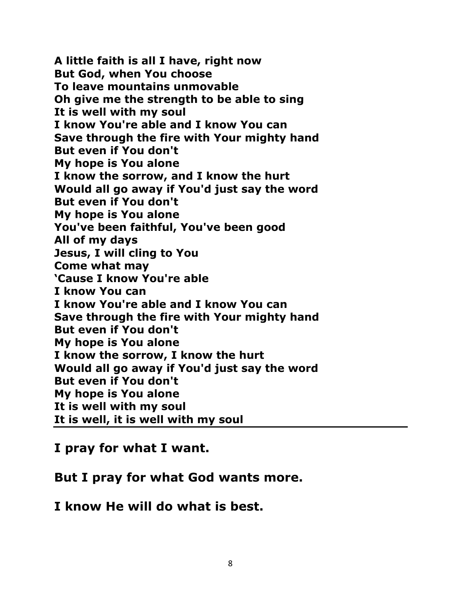**A little faith is all I have, right now But God, when You choose To leave mountains unmovable Oh give me the strength to be able to sing It is well with my soul I know You're able and I know You can Save through the fire with Your mighty hand But even if You don't My hope is You alone I know the sorrow, and I know the hurt Would all go away if You'd just say the word But even if You don't My hope is You alone You've been faithful, You've been good All of my days Jesus, I will cling to You Come what may 'Cause I know You're able I know You can I know You're able and I know You can Save through the fire with Your mighty hand But even if You don't My hope is You alone I know the sorrow, I know the hurt Would all go away if You'd just say the word But even if You don't My hope is You alone It is well with my soul It is well, it is well with my soul** 

**I pray for what I want.** 

**But I pray for what God wants more.** 

**I know He will do what is best.**